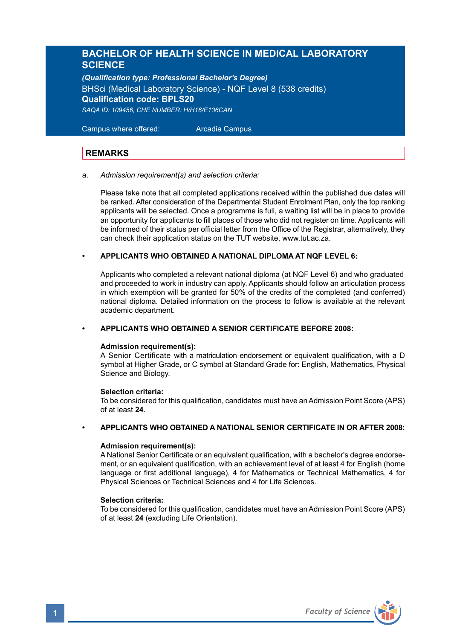# **BACHELOR OF HEALTH SCIENCE IN MEDICAL LABORATORY SCIENCE**

*(Qualification type: Professional Bachelor's Degree)* BHSci (Medical Laboratory Science) - NQF Level 8 (538 credits) **Qualification code: BPLS20** *SAQA ID: 109456, CHE NUMBER: H/H16/E136CAN*

 Campus where offered: Arcadia Campus

# **REMARKS**

#### a. *Admission requirement(s) and selection criteria:*

Please take note that all completed applications received within the published due dates will be ranked. After consideration of the Departmental Student Enrolment Plan, only the top ranking applicants will be selected. Once a programme is full, a waiting list will be in place to provide an opportunity for applicants to fill places of those who did not register on time. Applicants will be informed of their status per official letter from the Office of the Registrar, alternatively, they can check their application status on the TUT website, www.tut.ac.za.

# **• APPLICANTS WHO OBTAINED A NATIONAL DIPLOMA AT NQF LEVEL 6:**

Applicants who completed a relevant national diploma (at NQF Level 6) and who graduated and proceeded to work in industry can apply. Applicants should follow an articulation process in which exemption will be granted for 50% of the credits of the completed (and conferred) national diploma. Detailed information on the process to follow is available at the relevant academic department.

## **• APPLICANTS WHO OBTAINED A SENIOR CERTIFICATE BEFORE 2008:**

#### **Admission requirement(s):**

A Senior Certificate with a matriculation endorsement or equivalent qualification, with a D symbol at Higher Grade, or C symbol at Standard Grade for: English, Mathematics, Physical Science and Biology.

## **Selection criteria:**

To be considered for this qualification, candidates must have an Admission Point Score (APS) of at least **24**.

### **• APPLICANTS WHO OBTAINED A NATIONAL SENIOR CERTIFICATE IN OR AFTER 2008:**

#### **Admission requirement(s):**

A National Senior Certificate or an equivalent qualification, with a bachelor's degree endorsement, or an equivalent qualification, with an achievement level of at least 4 for English (home language or first additional language), 4 for Mathematics or Technical Mathematics, 4 for Physical Sciences or Technical Sciences and 4 for Life Sciences.

#### **Selection criteria:**

To be considered for this qualification, candidates must have an Admission Point Score (APS) of at least **24** (excluding Life Orientation).

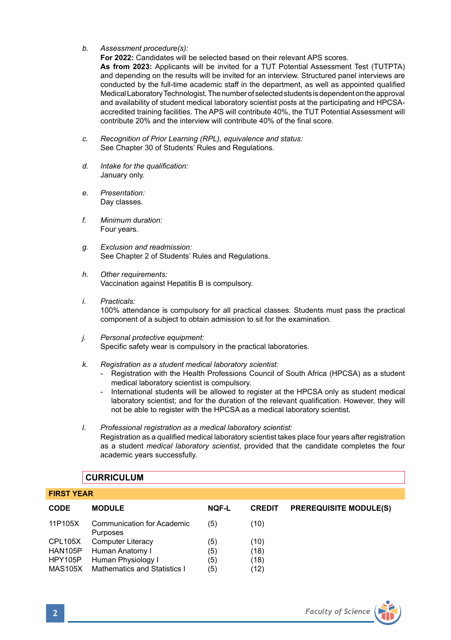*b. Assessment procedure(s):*

**For 2022:** Candidates will be selected based on their relevant APS scores.

**As from 2023:** Applicants will be invited for a TUT Potential Assessment Test (TUTPTA) and depending on the results will be invited for an interview. Structured panel interviews are conducted by the full-time academic staff in the department, as well as appointed qualified Medical Laboratory Technologist. The number of selected students is dependent on the approval and availability of student medical laboratory scientist posts at the participating and HPCSAaccredited training facilities. The APS will contribute 40%, the TUT Potential Assessment will contribute 20% and the interview will contribute 40% of the final score.

- *c. Recognition of Prior Learning (RPL), equivalence and status:* See Chapter 30 of Students' Rules and Regulations.
- *d. Intake for the qualification:*  January only.
- *e. Presentation:*  Day classes.
- *f. Minimum duration:* Four years.
- *g. Exclusion and readmission:* See Chapter 2 of Students' Rules and Regulations.
- *h. Other requirements:* Vaccination against Hepatitis B is compulsory.
- *i. Practicals:* 100% attendance is compulsory for all practical classes. Students must pass the practical component of a subject to obtain admission to sit for the examination.
- *j. Personal protective equipment:* Specific safety wear is compulsory in the practical laboratories.
- *k. Registration as a student medical laboratory scientist:*
	- Registration with the Health Professions Council of South Africa (HPCSA) as a student medical laboratory scientist is compulsory.
	- International students will be allowed to register at the HPCSA only as student medical laboratory scientist; and for the duration of the relevant qualification. However, they will not be able to register with the HPCSA as a medical laboratory scientist.
- *l. Professional registration as a medical laboratory scientist:* Registration as a qualified medical laboratory scientist takes place four years after registration as a student *medical laboratory scientist*, provided that the candidate completes the four academic years successfully.

# **CURRICULUM**

#### **FIRST YEAR**

| <b>CODE</b> | <b>MODULE</b>                          | <b>NQF-L</b> | <b>CREDIT</b> | <b>PREREQUISITE MODULE(S)</b> |
|-------------|----------------------------------------|--------------|---------------|-------------------------------|
| 11P105X     | Communication for Academic<br>Purposes | (5)          | (10)          |                               |
| CPL105X     | <b>Computer Literacy</b>               | (5)          | (10)          |                               |
| HAN105P     | Human Anatomy I                        | (5)          | (18)          |                               |
| HPY105P     | Human Physiology I                     | (5)          | (18)          |                               |
| MAS105X     | Mathematics and Statistics I           | (5)          | (12)          |                               |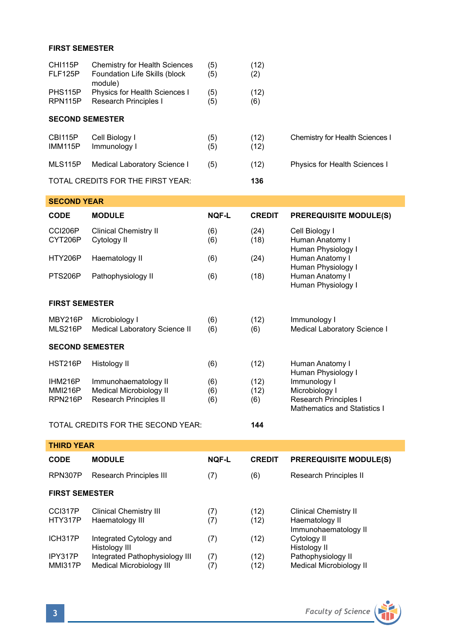## **FIRST SEMESTER**

| CHI115P<br>FLF125P               | <b>Chemistry for Health Sciences</b><br>Foundation Life Skills (block<br>module) | (5)<br>(5)   | (12)<br>(2)   |                                                             |
|----------------------------------|----------------------------------------------------------------------------------|--------------|---------------|-------------------------------------------------------------|
| PHS115P<br>RPN115P               | Physics for Health Sciences I<br><b>Research Principles I</b>                    | (5)<br>(5)   | (12)<br>(6)   |                                                             |
| <b>SECOND SEMESTER</b>           |                                                                                  |              |               |                                                             |
| <b>CBI115P</b><br><b>IMM115P</b> | Cell Biology I<br>Immunology I                                                   | (5)<br>(5)   | (12)<br>(12)  | Chemistry for Health Sciences I                             |
| MLS115P                          | Medical Laboratory Science I                                                     | (5)          | (12)          | Physics for Health Sciences I                               |
|                                  |                                                                                  |              |               |                                                             |
|                                  | TOTAL CREDITS FOR THE FIRST YEAR:                                                |              | 136           |                                                             |
| <b>SECOND YEAR</b>               |                                                                                  |              |               |                                                             |
| <b>CODE</b>                      | <b>MODULE</b>                                                                    | <b>NQF-L</b> | <b>CREDIT</b> | <b>PREREQUISITE MODULE(S)</b>                               |
| CCI206P<br>CYT206P               | <b>Clinical Chemistry II</b><br>Cytology II                                      | (6)<br>(6)   | (24)<br>(18)  | Cell Biology I<br>Human Anatomy I                           |
| HTY206P                          | Haematology II                                                                   | (6)          | (24)          | Human Physiology I<br>Human Anatomy I<br>Human Physiology I |

# **FIRST SEMESTER**

| ,,,,,,,,,,,,,,,,,,,,   |                                                 |            |             |                                                       |  |  |
|------------------------|-------------------------------------------------|------------|-------------|-------------------------------------------------------|--|--|
| MBY216P<br>MLS216P     | Microbiology I<br>Medical Laboratory Science II | (6)<br>(6) | (12)<br>(6) | Immunology I<br>Medical Laboratory Science I          |  |  |
| <b>SECOND SEMESTER</b> |                                                 |            |             |                                                       |  |  |
| <b>HST216P</b>         | Histology II                                    | (6)        | (12)        | Human Anatomy I<br>Human Physiology I                 |  |  |
| IHM216P                | Immunohaematology II                            | (6)        | (12)        | Immunology I                                          |  |  |
| <b>MMI216P</b>         | Medical Microbiology II                         | (6)        | (12)        | Microbiology I                                        |  |  |
| RPN216P                | Research Principles II                          | (6)        | (6)         | Research Principles I<br>Mathematics and Statistics I |  |  |

## TOTAL CREDITS FOR THE SECOND YEAR: **144**

| <b>THIRD YEAR</b>         |                                                            |              |               |                                                                        |  |  |
|---------------------------|------------------------------------------------------------|--------------|---------------|------------------------------------------------------------------------|--|--|
| <b>CODE</b>               | <b>MODULE</b>                                              | <b>NQF-L</b> | <b>CREDIT</b> | <b>PREREQUISITE MODULE(S)</b>                                          |  |  |
| RPN307P                   | Research Principles III                                    | (7)          | (6)           | Research Principles II                                                 |  |  |
| <b>FIRST SEMESTER</b>     |                                                            |              |               |                                                                        |  |  |
| CCI317P<br>HTY317P        | <b>Clinical Chemistry III</b><br>Haematology III           | (7)<br>(7)   | (12)<br>(12)  | <b>Clinical Chemistry II</b><br>Haematology II<br>Immunohaematology II |  |  |
| ICH317P                   | Integrated Cytology and<br>Histology III                   | (7)          | (12)          | Cytology II<br>Histology II                                            |  |  |
| IPY317P<br><b>MMI317P</b> | Integrated Pathophysiology III<br>Medical Microbiology III | (7)<br>(7)   | (12)<br>(12)  | Pathophysiology II<br>Medical Microbiology II                          |  |  |

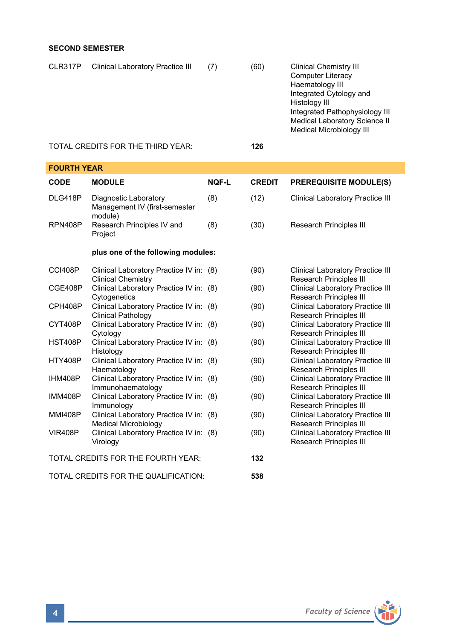# **SECOND SEMESTER**

| CLR317P | Clinical Laboratory Practice III  | (7) | (60) | <b>Clinical Chemistry III</b><br><b>Computer Literacy</b><br>Haematology III<br>Integrated Cytology and<br>Histology III<br>Integrated Pathophysiology III<br>Medical Laboratory Science II<br>Medical Microbiology III |
|---------|-----------------------------------|-----|------|-------------------------------------------------------------------------------------------------------------------------------------------------------------------------------------------------------------------------|
|         | TOTAL CREDITS FOR THE THIRD YEAR: |     | 126  |                                                                                                                                                                                                                         |

## **FOURTH YEAR**

| CODE                                 | <b>MODULE</b>                                                        | <b>NOF-L</b> | <b>CREDIT</b> | <b>PREREQUISITE MODULE(S)</b>                                             |  |
|--------------------------------------|----------------------------------------------------------------------|--------------|---------------|---------------------------------------------------------------------------|--|
| DLG418P                              | Diagnostic Laboratory<br>Management IV (first-semester<br>module)    | (8)          | (12)          | <b>Clinical Laboratory Practice III</b>                                   |  |
| RPN408P                              | Research Principles IV and<br>Project                                | (8)          | (30)          | Research Principles III                                                   |  |
|                                      | plus one of the following modules:                                   |              |               |                                                                           |  |
| CCI408P                              | Clinical Laboratory Practice IV in: (8)<br><b>Clinical Chemistry</b> |              | (90)          | <b>Clinical Laboratory Practice III</b><br>Research Principles III        |  |
| CGE408P                              | Clinical Laboratory Practice IV in: (8)<br>Cytogenetics              |              | (90)          | <b>Clinical Laboratory Practice III</b><br><b>Research Principles III</b> |  |
| CPH408P                              | Clinical Laboratory Practice IV in: (8)<br>Clinical Pathology        |              | (90)          | <b>Clinical Laboratory Practice III</b><br><b>Research Principles III</b> |  |
| CYT408P                              | Clinical Laboratory Practice IV in: (8)<br>Cytology                  |              | (90)          | <b>Clinical Laboratory Practice III</b><br><b>Research Principles III</b> |  |
| <b>HST408P</b>                       | Clinical Laboratory Practice IV in: (8)<br>Histology                 |              | (90)          | <b>Clinical Laboratory Practice III</b><br><b>Research Principles III</b> |  |
| <b>HTY408P</b>                       | Clinical Laboratory Practice IV in: (8)<br>Haematology               |              | (90)          | <b>Clinical Laboratory Practice III</b><br><b>Research Principles III</b> |  |
| IHM408P                              | Clinical Laboratory Practice IV in: (8)<br>Immunohaematology         |              | (90)          | <b>Clinical Laboratory Practice III</b><br>Research Principles III        |  |
| <b>IMM408P</b>                       | Clinical Laboratory Practice IV in: (8)<br>Immunology                |              | (90)          | Clinical Laboratory Practice III<br><b>Research Principles III</b>        |  |
| <b>MMI408P</b>                       | Clinical Laboratory Practice IV in: (8)<br>Medical Microbiology      |              | (90)          | <b>Clinical Laboratory Practice III</b><br><b>Research Principles III</b> |  |
| <b>VIR408P</b>                       | Clinical Laboratory Practice IV in: (8)<br>Virology                  |              | (90)          | <b>Clinical Laboratory Practice III</b><br><b>Research Principles III</b> |  |
| TOTAL CREDITS FOR THE FOURTH YEAR:   |                                                                      |              | 132           |                                                                           |  |
| TOTAL CREDITS FOR THE QUALIFICATION: |                                                                      |              | 538           |                                                                           |  |

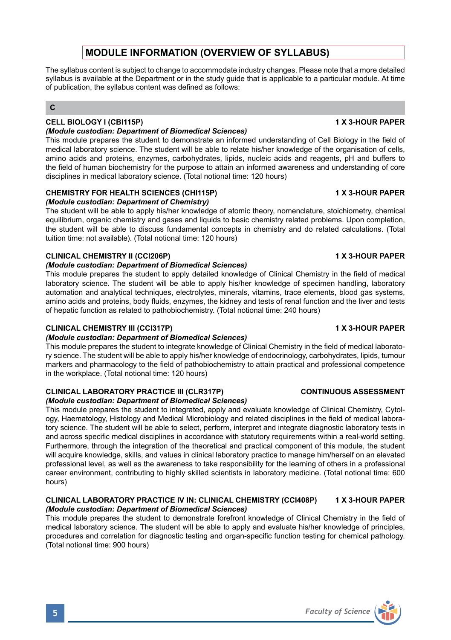# **MODULE INFORMATION (OVERVIEW OF SYLLABUS)**

The syllabus content is subject to change to accommodate industry changes. Please note that a more detailed syllabus is available at the Department or in the study guide that is applicable to a particular module. At time of publication, the syllabus content was defined as follows:

# **C**

# **CELL BIOLOGY I (CBI115P)** 1 X 3-HOUR PAPER

### *(Module custodian: Department of Biomedical Sciences)*

This module prepares the student to demonstrate an informed understanding of Cell Biology in the field of medical laboratory science. The student will be able to relate his/her knowledge of the organisation of cells, amino acids and proteins, enzymes, carbohydrates, lipids, nucleic acids and reagents, pH and buffers to the field of human biochemistry for the purpose to attain an informed awareness and understanding of core disciplines in medical laboratory science. (Total notional time: 120 hours)

# **CHEMISTRY FOR HEALTH SCIENCES (CHI115P) 1 X 3-HOUR PAPER**

## *(Module custodian: Department of Chemistry)*

The student will be able to apply his/her knowledge of atomic theory, nomenclature, stoichiometry, chemical equilibrium, organic chemistry and gases and liquids to basic chemistry related problems. Upon completion, the student will be able to discuss fundamental concepts in chemistry and do related calculations. (Total tuition time: not available). (Total notional time: 120 hours)

# **CLINICAL CHEMISTRY II (CCI206P) 1 X 3-HOUR PAPER**

## *(Module custodian: Department of Biomedical Sciences)*

This module prepares the student to apply detailed knowledge of Clinical Chemistry in the field of medical laboratory science. The student will be able to apply his/her knowledge of specimen handling, laboratory automation and analytical techniques, electrolytes, minerals, vitamins, trace elements, blood gas systems, amino acids and proteins, body fluids, enzymes, the kidney and tests of renal function and the liver and tests of hepatic function as related to pathobiochemistry. (Total notional time: 240 hours)

# **CLINICAL CHEMISTRY III (CCI317P) 1 X 3-HOUR PAPER**

# *(Module custodian: Department of Biomedical Sciences)*

This module prepares the student to integrate knowledge of Clinical Chemistry in the field of medical laboratory science. The student will be able to apply his/her knowledge of endocrinology, carbohydrates, lipids, tumour markers and pharmacology to the field of pathobiochemistry to attain practical and professional competence in the workplace. (Total notional time: 120 hours)

# **CLINICAL LABORATORY PRACTICE III (CLR317P) CONTINUOUS ASSESSMENT**

# *(Module custodian: Department of Biomedical Sciences)*

This module prepares the student to integrated, apply and evaluate knowledge of Clinical Chemistry, Cytology, Haematology, Histology and Medical Microbiology and related disciplines in the field of medical laboratory science. The student will be able to select, perform, interpret and integrate diagnostic laboratory tests in and across specific medical disciplines in accordance with statutory requirements within a real-world setting. Furthermore, through the integration of the theoretical and practical component of this module, the student will acquire knowledge, skills, and values in clinical laboratory practice to manage him/herself on an elevated professional level, as well as the awareness to take responsibility for the learning of others in a professional career environment, contributing to highly skilled scientists in laboratory medicine. (Total notional time: 600 hours)

## **CLINICAL LABORATORY PRACTICE IV IN: CLINICAL CHEMISTRY (CCI408P) 1 X 3-HOUR PAPER** *(Module custodian: Department of Biomedical Sciences)*

This module prepares the student to demonstrate forefront knowledge of Clinical Chemistry in the field of medical laboratory science. The student will be able to apply and evaluate his/her knowledge of principles, procedures and correlation for diagnostic testing and organ-specific function testing for chemical pathology. (Total notional time: 900 hours)

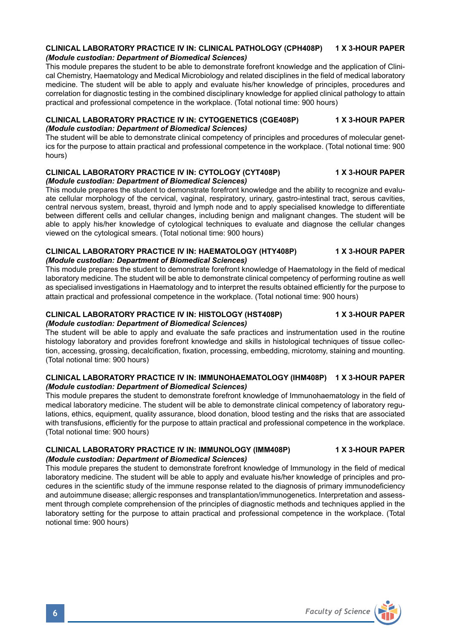## **CLINICAL LABORATORY PRACTICE IV IN: CLINICAL PATHOLOGY (CPH408P) 1 X 3-HOUR PAPER** *(Module custodian: Department of Biomedical Sciences)*

This module prepares the student to be able to demonstrate forefront knowledge and the application of Clinical Chemistry, Haematology and Medical Microbiology and related disciplines in the field of medical laboratory medicine. The student will be able to apply and evaluate his/her knowledge of principles, procedures and correlation for diagnostic testing in the combined disciplinary knowledge for applied clinical pathology to attain practical and professional competence in the workplace. (Total notional time: 900 hours)

#### **CLINICAL LABORATORY PRACTICE IV IN: CYTOGENETICS (CGE408P) 1 X 3-HOUR PAPER** *(Module custodian: Department of Biomedical Sciences)*

The student will be able to demonstrate clinical competency of principles and procedures of molecular genetics for the purpose to attain practical and professional competence in the workplace. (Total notional time: 900 hours)

#### **CLINICAL LABORATORY PRACTICE IV IN: CYTOLOGY (CYT408P) 1 X 3-HOUR PAPER** *(Module custodian: Department of Biomedical Sciences)*

This module prepares the student to demonstrate forefront knowledge and the ability to recognize and evaluate cellular morphology of the cervical, vaginal, respiratory, urinary, gastro-intestinal tract, serous cavities, central nervous system, breast, thyroid and lymph node and to apply specialised knowledge to differentiate between different cells and cellular changes, including benign and malignant changes. The student will be able to apply his/her knowledge of cytological techniques to evaluate and diagnose the cellular changes viewed on the cytological smears. (Total notional time: 900 hours)

#### **CLINICAL LABORATORY PRACTICE IV IN: HAEMATOLOGY (HTY408P) 1 X 3-HOUR PAPER** *(Module custodian: Department of Biomedical Sciences)*

This module prepares the student to demonstrate forefront knowledge of Haematology in the field of medical laboratory medicine. The student will be able to demonstrate clinical competency of performing routine as well as specialised investigations in Haematology and to interpret the results obtained efficiently for the purpose to attain practical and professional competence in the workplace. (Total notional time: 900 hours)

#### **CLINICAL LABORATORY PRACTICE IV IN: HISTOLOGY (HST408P) 1 X 3-HOUR PAPER** *(Module custodian: Department of Biomedical Sciences)*

The student will be able to apply and evaluate the safe practices and instrumentation used in the routine histology laboratory and provides forefront knowledge and skills in histological techniques of tissue collection, accessing, grossing, decalcification, fixation, processing, embedding, microtomy, staining and mounting. (Total notional time: 900 hours)

#### **CLINICAL LABORATORY PRACTICE IV IN: IMMUNOHAEMATOLOGY (IHM408P) 1 X 3-HOUR PAPER** *(Module custodian: Department of Biomedical Sciences)*

This module prepares the student to demonstrate forefront knowledge of Immunohaematology in the field of medical laboratory medicine. The student will be able to demonstrate clinical competency of laboratory regulations, ethics, equipment, quality assurance, blood donation, blood testing and the risks that are associated with transfusions, efficiently for the purpose to attain practical and professional competence in the workplace. (Total notional time: 900 hours)

### **CLINICAL LABORATORY PRACTICE IV IN: IMMUNOLOGY (IMM408P) 1 X 3-HOUR PAPER** *(Module custodian: Department of Biomedical Sciences)*

This module prepares the student to demonstrate forefront knowledge of Immunology in the field of medical laboratory medicine. The student will be able to apply and evaluate his/her knowledge of principles and procedures in the scientific study of the immune response related to the diagnosis of primary immunodeficiency and autoimmune disease; allergic responses and transplantation/immunogenetics. Interpretation and assessment through complete comprehension of the principles of diagnostic methods and techniques applied in the laboratory setting for the purpose to attain practical and professional competence in the workplace. (Total notional time: 900 hours)

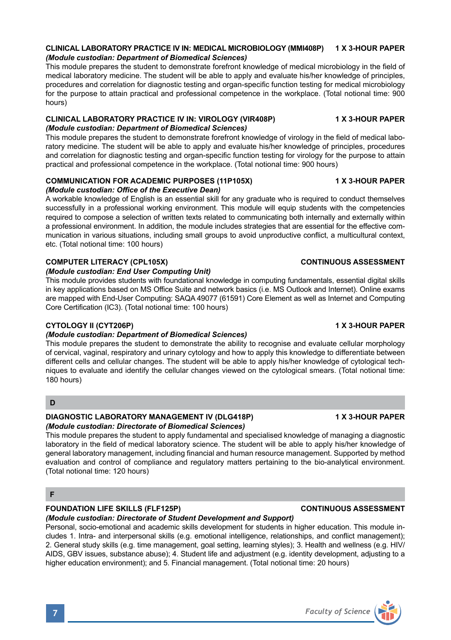This module prepares the student to demonstrate forefront knowledge of medical microbiology in the field of medical laboratory medicine. The student will be able to apply and evaluate his/her knowledge of principles, procedures and correlation for diagnostic testing and organ-specific function testing for medical microbiology for the purpose to attain practical and professional competence in the workplace. (Total notional time: 900 hours)

# **CLINICAL LABORATORY PRACTICE IV IN: VIROLOGY (VIR408P) 1 X 3-HOUR PAPER** *(Module custodian: Department of Biomedical Sciences)*

This module prepares the student to demonstrate forefront knowledge of virology in the field of medical laboratory medicine. The student will be able to apply and evaluate his/her knowledge of principles, procedures and correlation for diagnostic testing and organ-specific function testing for virology for the purpose to attain practical and professional competence in the workplace. (Total notional time: 900 hours)

# **COMMUNICATION FOR ACADEMIC PURPOSES (11P105X) 1 X 3-HOUR PAPER**

# *(Module custodian: Office of the Executive Dean)*

A workable knowledge of English is an essential skill for any graduate who is required to conduct themselves successfully in a professional working environment. This module will equip students with the competencies required to compose a selection of written texts related to communicating both internally and externally within a professional environment. In addition, the module includes strategies that are essential for the effective communication in various situations, including small groups to avoid unproductive conflict, a multicultural context, etc. (Total notional time: 100 hours)

# **COMPUTER LITERACY (CPL105X)** CONTINUOUS ASSESSMENT

# *(Module custodian: End User Computing Unit)*

This module provides students with foundational knowledge in computing fundamentals, essential digital skills in key applications based on MS Office Suite and network basics (i.e. MS Outlook and Internet). Online exams are mapped with End-User Computing: SAQA 49077 (61591) Core Element as well as Internet and Computing Core Certification (IC3). (Total notional time: 100 hours)

# **CYTOLOGY II (CYT206P)** 1 X 3-HOUR PAPER

# *(Module custodian: Department of Biomedical Sciences)*

This module prepares the student to demonstrate the ability to recognise and evaluate cellular morphology of cervical, vaginal, respiratory and urinary cytology and how to apply this knowledge to differentiate between different cells and cellular changes. The student will be able to apply his/her knowledge of cytological techniques to evaluate and identify the cellular changes viewed on the cytological smears. (Total notional time: 180 hours)

# **D**

### **DIAGNOSTIC LABORATORY MANAGEMENT IV (DLG418P) 1 X 3-HOUR PAPER** *(Module custodian: Directorate of Biomedical Sciences)*

This module prepares the student to apply fundamental and specialised knowledge of managing a diagnostic laboratory in the field of medical laboratory science. The student will be able to apply his/her knowledge of general laboratory management, including financial and human resource management. Supported by method evaluation and control of compliance and regulatory matters pertaining to the bio-analytical environment. (Total notional time: 120 hours)

# **F**

# **FOUNDATION LIFE SKILLS (FLF125P) CONTINUOUS ASSESSMENT**

*(Module custodian: Directorate of Student Development and Support)* Personal, socio-emotional and academic skills development for students in higher education. This module includes 1. Intra- and interpersonal skills (e.g. emotional intelligence, relationships, and conflict management); 2. General study skills (e.g. time management, goal setting, learning styles); 3. Health and wellness (e.g. HIV/ AIDS, GBV issues, substance abuse); 4. Student life and adjustment (e.g. identity development, adjusting to a higher education environment); and 5. Financial management. (Total notional time: 20 hours)

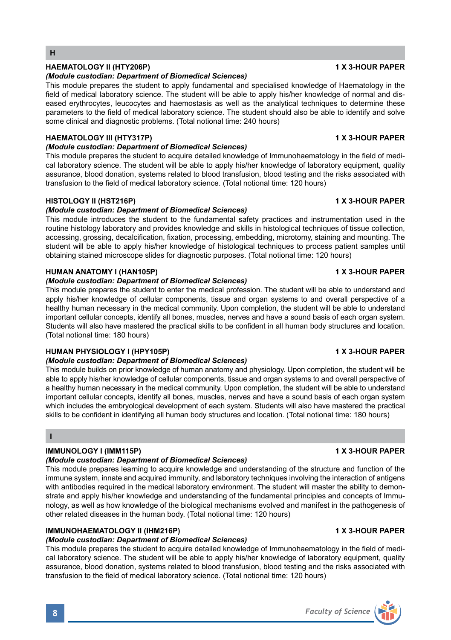# **HAEMATOLOGY II (HTY206P)** 1 X 3-HOUR PAPER

#### *(Module custodian: Department of Biomedical Sciences)*

This module prepares the student to apply fundamental and specialised knowledge of Haematology in the field of medical laboratory science. The student will be able to apply his/her knowledge of normal and diseased erythrocytes, leucocytes and haemostasis as well as the analytical techniques to determine these parameters to the field of medical laboratory science. The student should also be able to identify and solve some clinical and diagnostic problems. (Total notional time: 240 hours)

## **HAEMATOLOGY III (HTY317P)** 1 X 3-HOUR PAPER

### *(Module custodian: Department of Biomedical Sciences)*

This module prepares the student to acquire detailed knowledge of Immunohaematology in the field of medical laboratory science. The student will be able to apply his/her knowledge of laboratory equipment, quality assurance, blood donation, systems related to blood transfusion, blood testing and the risks associated with transfusion to the field of medical laboratory science. (Total notional time: 120 hours)

### **HISTOLOGY II (HST216P)** 1 X 3-HOUR PAPER

## *(Module custodian: Department of Biomedical Sciences)*

This module introduces the student to the fundamental safety practices and instrumentation used in the routine histology laboratory and provides knowledge and skills in histological techniques of tissue collection, accessing, grossing, decalcification, fixation, processing, embedding, microtomy, staining and mounting. The student will be able to apply his/her knowledge of histological techniques to process patient samples until obtaining stained microscope slides for diagnostic purposes. (Total notional time: 120 hours)

### **HUMAN ANATOMY I (HAN105P) 1 X 3-HOUR PAPER**

#### *(Module custodian: Department of Biomedical Sciences)*

This module prepares the student to enter the medical profession. The student will be able to understand and apply his/her knowledge of cellular components, tissue and organ systems to and overall perspective of a healthy human necessary in the medical community. Upon completion, the student will be able to understand important cellular concepts, identify all bones, muscles, nerves and have a sound basis of each organ system. Students will also have mastered the practical skills to be confident in all human body structures and location. (Total notional time: 180 hours)

### **HUMAN PHYSIOLOGY I (HPY105P) 1 X 3-HOUR PAPER**

# *(Module custodian: Department of Biomedical Sciences)*

This module builds on prior knowledge of human anatomy and physiology. Upon completion, the student will be able to apply his/her knowledge of cellular components, tissue and organ systems to and overall perspective of a healthy human necessary in the medical community. Upon completion, the student will be able to understand important cellular concepts, identify all bones, muscles, nerves and have a sound basis of each organ system which includes the embryological development of each system. Students will also have mastered the practical skills to be confident in identifying all human body structures and location. (Total notional time: 180 hours)

### **I**

# **IMMUNOLOGY I (IMM115P)** 1 X 3-HOUR PAPER

## *(Module custodian: Department of Biomedical Sciences)*

This module prepares learning to acquire knowledge and understanding of the structure and function of the immune system, innate and acquired immunity, and laboratory techniques involving the interaction of antigens with antibodies required in the medical laboratory environment. The student will master the ability to demonstrate and apply his/her knowledge and understanding of the fundamental principles and concepts of Immunology, as well as how knowledge of the biological mechanisms evolved and manifest in the pathogenesis of other related diseases in the human body. (Total notional time: 120 hours)

### **IMMUNOHAEMATOLOGY II (IHM216P)** 1 X 3-HOUR PAPER

# *(Module custodian: Department of Biomedical Sciences)*

This module prepares the student to acquire detailed knowledge of Immunohaematology in the field of medical laboratory science. The student will be able to apply his/her knowledge of laboratory equipment, quality assurance, blood donation, systems related to blood transfusion, blood testing and the risks associated with transfusion to the field of medical laboratory science. (Total notional time: 120 hours)

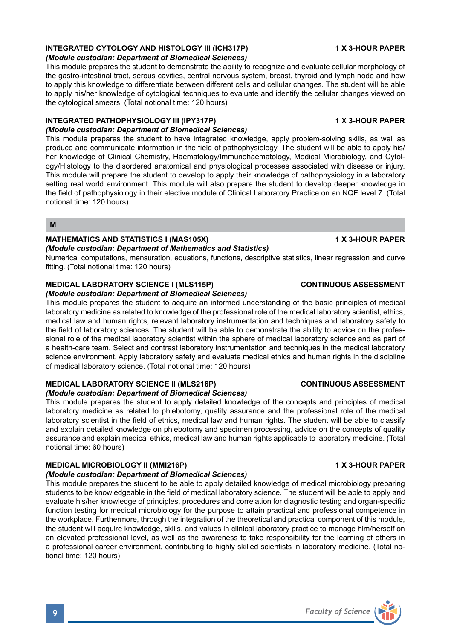# **INTEGRATED CYTOLOGY AND HISTOLOGY III (ICH317P) 1 X 3-HOUR PAPER**

#### *(Module custodian: Department of Biomedical Sciences)*

This module prepares the student to demonstrate the ability to recognize and evaluate cellular morphology of the gastro-intestinal tract, serous cavities, central nervous system, breast, thyroid and lymph node and how to apply this knowledge to differentiate between different cells and cellular changes. The student will be able to apply his/her knowledge of cytological techniques to evaluate and identify the cellular changes viewed on the cytological smears. (Total notional time: 120 hours)

# **INTEGRATED PATHOPHYSIOLOGY III (IPY317P) 1 X 3-HOUR PAPER**

## *(Module custodian: Department of Biomedical Sciences)*

This module prepares the student to have integrated knowledge, apply problem-solving skills, as well as produce and communicate information in the field of pathophysiology. The student will be able to apply his/ her knowledge of Clinical Chemistry, Haematology/Immunohaematology, Medical Microbiology, and Cytology/Histology to the disordered anatomical and physiological processes associated with disease or injury. This module will prepare the student to develop to apply their knowledge of pathophysiology in a laboratory setting real world environment. This module will also prepare the student to develop deeper knowledge in the field of pathophysiology in their elective module of Clinical Laboratory Practice on an NQF level 7. (Total notional time: 120 hours)

**M**

# **MATHEMATICS AND STATISTICS I (MAS105X)** 1 X 3-HOUR PAPER

#### *(Module custodian: Department of Mathematics and Statistics)*

Numerical computations, mensuration, equations, functions, descriptive statistics, linear regression and curve fitting. (Total notional time: 120 hours)

## **MEDICAL LABORATORY SCIENCE I (MLS115P) CONTINUOUS ASSESSMENT**

#### *(Module custodian: Department of Biomedical Sciences)*

This module prepares the student to acquire an informed understanding of the basic principles of medical laboratory medicine as related to knowledge of the professional role of the medical laboratory scientist, ethics, medical law and human rights, relevant laboratory instrumentation and techniques and laboratory safety to the field of laboratory sciences. The student will be able to demonstrate the ability to advice on the professional role of the medical laboratory scientist within the sphere of medical laboratory science and as part of a health-care team. Select and contrast laboratory instrumentation and techniques in the medical laboratory science environment. Apply laboratory safety and evaluate medical ethics and human rights in the discipline of medical laboratory science. (Total notional time: 120 hours)

# **MEDICAL LABORATORY SCIENCE II (MLS216P) CONTINUOUS ASSESSMENT**

# *(Module custodian: Department of Biomedical Sciences)*

This module prepares the student to apply detailed knowledge of the concepts and principles of medical laboratory medicine as related to phlebotomy, quality assurance and the professional role of the medical laboratory scientist in the field of ethics, medical law and human rights. The student will be able to classify and explain detailed knowledge on phlebotomy and specimen processing, advice on the concepts of quality assurance and explain medical ethics, medical law and human rights applicable to laboratory medicine. (Total notional time: 60 hours)

# **MEDICAL MICROBIOLOGY II (MMI216P)** 1 X 3-HOUR PAPER

# *(Module custodian: Department of Biomedical Sciences)*

This module prepares the student to be able to apply detailed knowledge of medical microbiology preparing students to be knowledgeable in the field of medical laboratory science. The student will be able to apply and evaluate his/her knowledge of principles, procedures and correlation for diagnostic testing and organ-specific function testing for medical microbiology for the purpose to attain practical and professional competence in the workplace. Furthermore, through the integration of the theoretical and practical component of this module, the student will acquire knowledge, skills, and values in clinical laboratory practice to manage him/herself on an elevated professional level, as well as the awareness to take responsibility for the learning of others in a professional career environment, contributing to highly skilled scientists in laboratory medicine. (Total notional time: 120 hours)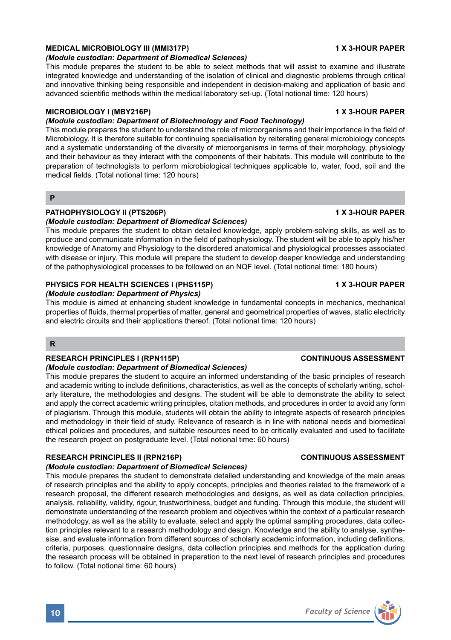# **MEDICAL MICROBIOLOGY III (MMI317P)** 1 X 3-HOUR PAPER

### *(Module custodian: Department of Biomedical Sciences)*

This module prepares the student to be able to select methods that will assist to examine and illustrate integrated knowledge and understanding of the isolation of clinical and diagnostic problems through critical and innovative thinking being responsible and independent in decision-making and application of basic and advanced scientific methods within the medical laboratory set-up. (Total notional time: 120 hours)

## MICROBIOLOGY I (MBY216P) **1 X 3-HOUR PAPER**

## *(Module custodian: Department of Biotechnology and Food Technology)*

This module prepares the student to understand the role of microorganisms and their importance in the field of Microbiology. It is therefore suitable for continuing specialisation by reiterating general microbiology concepts and a systematic understanding of the diversity of microorganisms in terms of their morphology, physiology and their behaviour as they interact with the components of their habitats. This module will contribute to the preparation of technologists to perform microbiological techniques applicable to, water, food, soil and the medical fields. (Total notional time: 120 hours)

#### **P**

## PATHOPHYSIOLOGY II (PTS206P) **1 ACCOUNT 1 ACCOUNT 1 ACCOUNT 1 X 3-HOUR PAPER**

#### *(Module custodian: Department of Biomedical Sciences)*

This module prepares the student to obtain detailed knowledge, apply problem-solving skills, as well as to produce and communicate information in the field of pathophysiology. The student will be able to apply his/her knowledge of Anatomy and Physiology to the disordered anatomical and physiological processes associated with disease or injury. This module will prepare the student to develop deeper knowledge and understanding of the pathophysiological processes to be followed on an NQF level. (Total notional time: 180 hours)

### **PHYSICS FOR HEALTH SCIENCES I (PHS115P) 1 X 3-HOUR PAPER**

#### *(Module custodian: Department of Physics)*

This module is aimed at enhancing student knowledge in fundamental concepts in mechanics, mechanical properties of fluids, thermal properties of matter, general and geometrical properties of waves, static electricity and electric circuits and their applications thereof. (Total notional time: 120 hours)

### **R**

#### **RESEARCH PRINCIPLES I (RPN115P) CONTINUOUS ASSESSMENT**

#### *(Module custodian: Department of Biomedical Sciences)*

This module prepares the student to acquire an informed understanding of the basic principles of research and academic writing to include definitions, characteristics, as well as the concepts of scholarly writing, scholarly literature, the methodologies and designs. The student will be able to demonstrate the ability to select and apply the correct academic writing principles, citation methods, and procedures in order to avoid any form of plagiarism. Through this module, students will obtain the ability to integrate aspects of research principles and methodology in their field of study. Relevance of research is in line with national needs and biomedical ethical policies and procedures, and suitable resources need to be critically evaluated and used to facilitate the research project on postgraduate level. (Total notional time: 60 hours)

## **RESEARCH PRINCIPLES II (RPN216P) CONTINUOUS ASSESSMENT**

### *(Module custodian: Department of Biomedical Sciences)*

This module prepares the student to demonstrate detailed understanding and knowledge of the main areas of research principles and the ability to apply concepts, principles and theories related to the framework of a research proposal, the different research methodologies and designs, as well as data collection principles, analysis, reliability, validity, rigour, trustworthiness, budget and funding. Through this module, the student will demonstrate understanding of the research problem and objectives within the context of a particular research methodology, as well as the ability to evaluate, select and apply the optimal sampling procedures, data collection principles relevant to a research methodology and design. Knowledge and the ability to analyse, synthesise, and evaluate information from different sources of scholarly academic information, including definitions, criteria, purposes, questionnaire designs, data collection principles and methods for the application during the research process will be obtained in preparation to the next level of research principles and procedures to follow. (Total notional time: 60 hours)